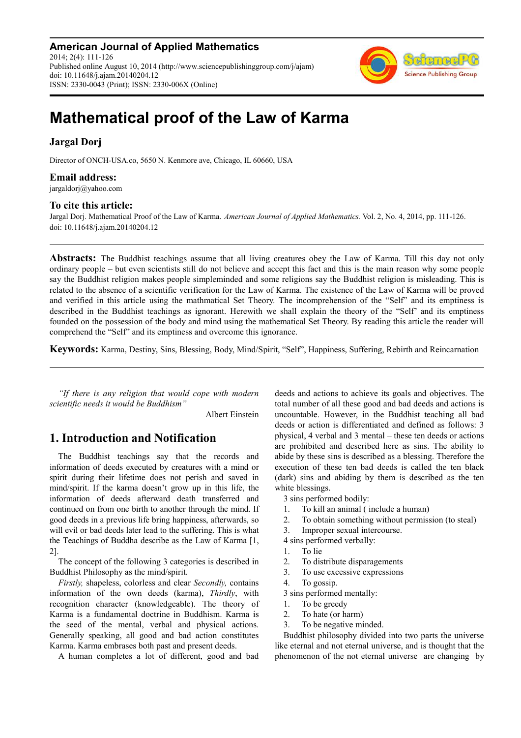**American Journal of Applied Mathematics** 2014; 2(4): 111-126 Published online August 10, 2014 (http://www.sciencepublishinggroup.com/j/ajam) doi: 10.11648/j.ajam.20140204.12 ISSN: 2330-0043 (Print); ISSN: 2330-006X (Online)



# **Mathematical proof of the Law of Karma**

### **Jargal Dorj**

Director of ONCH-USA.co, 5650 N. Kenmore ave, Chicago, IL 60660, USA

### **Email address:**

jargaldorj@yahoo.com

### **To cite this article:**

Jargal Dorj. Mathematical Proof of the Law of Karma. *American Journal of Applied Mathematics.* Vol. 2, No. 4, 2014, pp. 111-126. doi: 10.11648/j.ajam.20140204.12

**Abstracts:** The Buddhist teachings assume that all living creatures obey the Law of Karma. Till this day not only ordinary people – but even scientists still do not believe and accept this fact and this is the main reason why some people say the Buddhist religion makes people simpleminded and some religions say the Buddhist religion is misleading. This is related to the absence of a scientific verification for the Law of Karma. The existence of the Law of Karma will be proved and verified in this article using the mathmatical Set Theory. The incomprehension of the "Self" and its emptiness is described in the Buddhist teachings as ignorant. Herewith we shall explain the theory of the "Self' and its emptiness founded on the possession of the body and mind using the mathematical Set Theory. By reading this article the reader will comprehend the "Self" and its emptiness and overcome this ignorance.

**Keywords:** Karma, Destiny, Sins, Blessing, Body, Mind/Spirit, "Self", Happiness, Suffering, Rebirth and Reincarnation

*"If there is any religion that would cope with modern scientific needs it would be Buddhism"* 

Albert Einstein

# **1. Introduction and Notification**

The Buddhist teachings say that the records and information of deeds executed by creatures with a mind or spirit during their lifetime does not perish and saved in mind/spirit. If the karma doesn't grow up in this life, the information of deeds afterward death transferred and continued on from one birth to another through the mind. If good deeds in a previous life bring happiness, afterwards, so will evil or bad deeds later lead to the suffering. This is what the Teachings of Buddha describe as the Law of Karma [1, 2].

The concept of the following 3 categories is described in Buddhist Philosophy as the mind/spirit.

*Firstly,* shapeless, colorless and clear *Secondly,* contains information of the own deeds (karma), *Thirdly*, with recognition character (knowledgeable). The theory of Karma is a fundamental doctrine in Buddhism. Karma is the seed of the mental, verbal and physical actions. Generally speaking, all good and bad action constitutes Karma. Karma embrases both past and present deeds.

A human completes a lot of different, good and bad

deeds and actions to achieve its goals and objectives. The total number of all these good and bad deeds and actions is uncountable. However, in the Buddhist teaching all bad deeds or action is differentiated and defined as follows: 3 physical, 4 verbal and 3 mental – these ten deeds or actions are prohibited and described here as sins. The ability to abide by these sins is described as a blessing. Therefore the execution of these ten bad deeds is called the ten black (dark) sins and abiding by them is described as the ten white blessings.

3 sins performed bodily:

- 1. To kill an animal ( include a human)
- 2. To obtain something without permission (to steal)
- 3. Improper sexual intercourse.
- 4 sins performed verbally:
- 1. To lie
- 2. To distribute disparagements
- 3. To use excessive expressions
- 4. To gossip.

3 sins performed mentally:

- 1. To be greedy
- 2. To hate (or harm)
- 3. To be negative minded.

Buddhist philosophy divided into two parts the universe like eternal and not eternal universe, and is thought that the phenomenon of the not eternal universe are changing by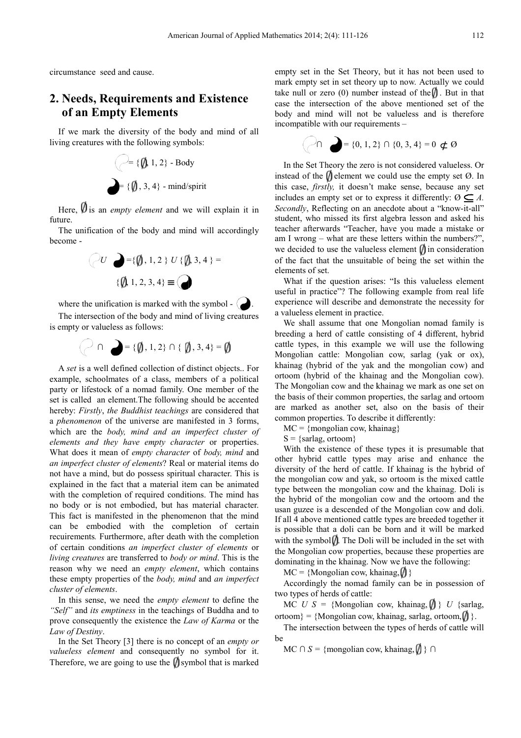circumstance seed and cause.

# **2. Needs, Requirements and Existence of an Empty Elements**

If we mark the diversity of the body and mind of all living creatures with the following symbols:



Here, **V** is an *empty element* and we will explain it in future. nd/spirit<br>we will explain it in<br>mind will accordingly

The unification of the body and mind will accordingly become -



where the unification is marked with the symbol  $\bullet$ .

The intersection of the body and mind of living creatures is empty or valueless as follows:

$$
\bigcirc \cap \bigcirc = \{\emptyset, 1, 2\} \cap \{\emptyset, 3, 4\} = \emptyset
$$

A *set* is a well defined collection of distinct objects.. For example, schoolmates of a class, members of a political party or lifestock of a nomad family. One member of the set is called an element.The following should be accented set is called an element. The following should be accented hereby: *Firstly, the Buddhist teachings* are considered that a *phenomenon* of the universe are manifested in 3 forms, which are the *body, mind and an imperfect cluster of elements and they have empty character* or properties. What does it mean of *empty character* of *body, mind* and an imperfect cluster of elements? Real or material items do not have a mind, but do possess spiritual character. This is explained in the fact that a material item can be animated with the completion of required conditions. The mind has no body or is not embodied, but has material character. This fact is manifested in the phenomenon that the mind can be embodied with the completion of certain recuirements*.* Furthermore, after death with the completion of certain conditions *an imperfect cluster of elements living creatures* are transferred to *body or mind* . This is the reason why we need an *empty element* , which contains these empty properties of the *body, mind* and *an imperfect cluster of elements*. fested in the phenomenon that the mind<br>ed with the completion of certain<br>thermore, after death with the completion<br>ons *an imperfect cluster of elements* or

In this sense, we need the *empty element* to define the *"Self"* and *its emptiness* in the teachings of Buddha and to prove consequently the existence the *Law of Karma* or the *Law of Destiny*.

In the Set Theory [3] there is no concept of an *empty or valueless element* and consequently no symbol for it. Therefore, we are going to use the  $\eta$  symbol that is marked empty set in the Set Theory, but it has not been used to mark empty set in set theory up to now. Actually we could take null or zero (0) number instead of the  $\parallel$ . But in that case the intersection of the above mentioned set of the body and mind will not be valueless and is therefore incompatible with our requirements -

$$
\bigcap_{i=1}^n \bigcap_{i=1}^n = \{0, 1, 2\} \cap \{0, 3, 4\} = 0 \not\subset \emptyset
$$

In the Set Theory the zero is not considered valueless. Or instead of the  $\psi$  element we could use the empty set  $\emptyset$ . In this case, *firstly*, it doesn't make sense, because any set includes an empty set or to express it differently:  $\emptyset \subseteq A$ . Secondly, Reflecting on an anecdote about a "know-it-all" student, who missed its first algebra lesson and asked his teacher afterwards "Teacher, have you made a mistake or am I wrong – what are these letters within the numbers?", we decided to use the valueless element  $\theta$  in consideration of the fact that the unsuitable unsuitable of being the set within the elements of set.

What if the question arises: "Is this valueless element useful in practice"? The following example from real life experience will describe and demonstrate the necessity for a valueless element in practice.

We shall assume that one Mongolian nomad family is breeding a herd of cattle consisting of 4 different, hybrid cattle types, in this example we will use the following Mongolian cattle: Mongolian cow, sarlag (yak or ox), khainag (hybrid of the yak and the mongolian cow) and ortoom (hybrid of the khainag and the Mongolian cow). The Mongolian cow and the khainag we mark as one set on the basis of their common properties, the sarlag and ortoom are marked as another set, also on the basis of their common properties. To describe it differently:

 $MC = \{mongolian cow, khainaq\}$ 

 $S = \{ {{\rm{sarlag}}}, {{\rm{ortoom}}} \}$ 

With the existence of these types it is presumable that other hybrid cattle types may may arise and enhance the diversity of the herd of cattle. If khainag is the hybrid of the mongolian cow and yak, so ortoom is the mixed cattle type between the mongolian cow and the khainag. Doli is the hybrid of the mongolian cow and the ortoom and the usan guzee is a descended of the Mongolian cow and doli. If all 4 above mentioned cattle types are breeded together it is possible that a doli can be born and it will be marked with the symbol  $\emptyset$ . The Doli will be included in the set with the Mongolian cow properties, because these properties are dominating in the khainag. Now we have the following:

 $MC = \{Mongolian cow, khainag, \emptyset\}$ 

Accordingly the nomad family can be in possession of two types of herds of cattle:

MC  $U S = \{ \text{Mongolian cow, khainag, } \emptyset \} U \{ \text{sarlag, }$  $ortoom$ } = {Mongolian cow, khainag, sarlag, ortoom, $\langle \rangle$ }.

The intersection between the types of herds of cattle will be

 $MC \cap S = \{ \text{mongolian cow, khainag, \iint \} \cap$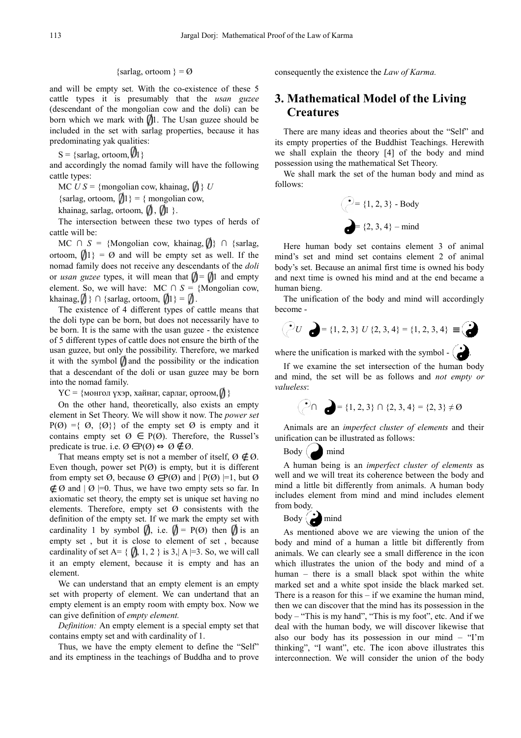### {sarlag, ortoom } =  $\emptyset$

and will be empty set. With the co-existence of these 5 and will be empty set. With the co-existence of these 5 cattle types it is presumably that the *usan guzee* (descendant of the mongolian cow and the doli) can be born which we mark with  $\sqrt{1}$ . The Usan guzee should be included in the set with sarlag properties, because it has predominating yak qualities:

 $S = \{ \text{sarlag}, \text{ ortoom}, \emptyset \}$ 

and accordingly the nomad family will have the following cattle types:

 $MC$   $US = \{$ mongolian cow, khainag,  $\{ \} U$ 

{sarlag, ortoom,  $\langle 1 \rangle = \{ \text{mongolian cow}, \}$ 

khainag, sarlag, ortoom,  $\emptyset$ ,  $\emptyset$ 1 }.

The intersection between these two types of herds of cattle will be:

 $MC \cap S = \{Mongolian cow, khainag, \text{ } \text{ } \} \cap \{ sarlag, \text{ }$ ortoom,  $\langle 1 \rangle = \emptyset$  and will be empty set as well. If the nomad family does not receive any descendants of the *doli*  or *usan guzee* types, it will mean that  $\mathbf{I} = \mathbf{I}$  and empty element. So, we will have: MC  $\cap$  S = {Mongolian cow, khainag,  $\emptyset$  } ∩ {sarlag, ortoom,  $\emptyset$ 1} =  $\emptyset$ .

The existence of 4 different types of cattle means that the doli type can be born, but does not necessarily have to be born. It is the same with the usan guzee - the existence of 5 different types of cattle does not ensure the birth of the usan guzee, but only the possibility. Therefore, we marked it with the symbol  $\emptyset$  and the possibility or the indication that a descendant of the doli or usan guzee may be born into the nomad family. nd the possibility or the indeed oli or usan guzee may b<br>xaйнаг, сарлаг, ортоом,  $\emptyset$  }

YC = {монгол үхэр, хайнаг, сарлаг, ортоом,

On the other hand, theoretically, also exists an empty element in Set Theory. We will show it now. The *power set*  $P(\emptyset) = \{ \emptyset, \{\emptyset\} \}$  of the empty set  $\emptyset$  is empty and it contains empty set  $\emptyset \in P(\emptyset)$ . Therefore, the Russel's predicate is true. i.e.  $\emptyset \in P(\emptyset) \Leftrightarrow \emptyset \notin \emptyset$ .

That means empty set is not a member of itself,  $\emptyset \notin \emptyset$ . Even though, power set  $P(\emptyset)$  is empty, but it is different from empty set  $\emptyset$ , because  $\emptyset \in P(\emptyset)$  and  $|P(\emptyset)|=1$ , but  $\emptyset$ ∉ Ø and  $\vert \emptyset \vert$  =0. Thus, we have two empty sets so far. In axiomatic set theory, the empty set is unique set having no elements. Therefore, empty set  $\emptyset$  consistents with the definition of the empty set. If we mark the empty set with cardinality 1 by symbol  $\emptyset$ , i.e.  $\emptyset = P(\emptyset)$  then  $\emptyset$  is an empty set, but it is close to element of set, because cardinality of set A=  $\{ \parallel, 1, 2 \}$  is 3, | A |=3. So, we will call it an empty element, because it is empty and has an element.

We can understand that an empty element is an empty set with property of element. We can undertand that an empty element is an empty room with empty box. Now we can give definition of *empty element.* 

Definition: An empty element is a special empty set that contains empty set and with cardinality of 1 1.

Thus, we have the empty element to define the "Self" and its emptiness in the teachings of Buddha and to prove consequently the existence the *Law of Karma.*

# **3. Mathematical Model of the Living Creatures**

There are many ideas and theories about the "Self" and its empty properties of the Buddhist Teachings. Herewith we shall explain the theory [4] of the body and mind possession using the mathematical Set Theory.

We shall mark the set of the human body and mind as follows:

$$
\begin{pmatrix} \bullet \\ \bullet \end{pmatrix} = \{1, 2, 3\} - \text{Body}
$$
  
=  $\{2, 3, 4\} - \text{mind}$ 

Here human body set contains element 3 of animal mind's set and mind set contains element 2 of animal body's set. Because an animal first time is owned his body and next time is owned his mind and at the end became a human bieng.

The unification of the body and mind mind will accordingly become -

$$
U \quad \bigodot = \{1, 2, 3\} \ U \ \{2, 3, 4\} = \{1, 2, 3, 4\} \ \equiv \ \bigodot
$$

where the unification is marked with the symbol  $\begin{pmatrix} 1 \\ 1 \end{pmatrix}$ .

If we examine the set intersection of the human body and mind, the set will be as follows and *not empty or valueless*:

*∩* = {1, 2, 3} *∩* {2, 3, 4} = {2, 3} ≠ Ø

Animals are an *imperfect cluster of elements* and their unification can be illustrated as follows follows:

 $Body \sim mind$ 

A human being is an *imperfect cluster of elements* as well and we will treat its coherence between the body and mind a little bit differently from animals. A human body includes element from mind and mind includes element from body.

# Body mind

As mentioned above we are viewing the union of the body and mind of a human a little bit differently from animals. We can clearly see a a small difference in the icon which illustrates the union of the body and mind of a human – there is a small bla black spot within the white marked set and a white spot inside the black marked set. There is a reason for this – if we examine the human mind, then we can discover that the mind has its possession in the body – "This is my hand", "This is my foot", etc. And if we deal with the human body, we will discover likewise that also our body has its possession in our mind  $-$  "I'm thinking", "I want", etc. The icon above illustrates this interconnection. We will consider the union of the body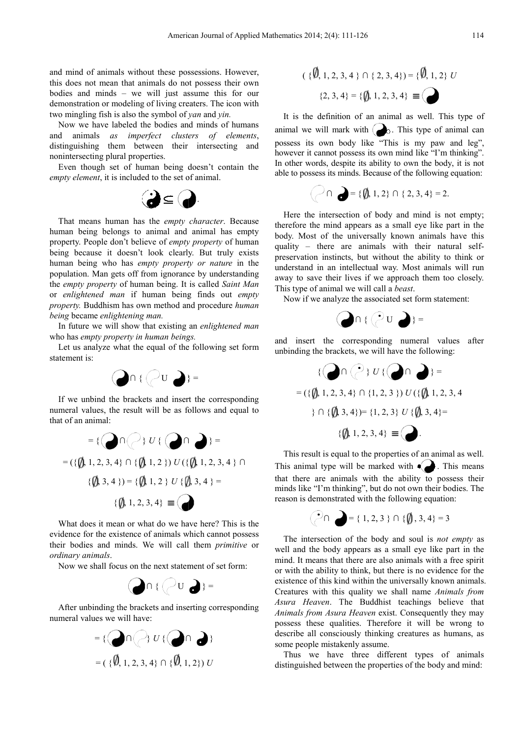and mind of animals without these possessions. However, this does not mean that animals do not possess their own bodies and minds – we will just assume this for our demonstration or modeling of living creaters. The icon with two mingling fish is also the symbol of *yan* and *yin.*

Now we have labeled the bodies and minds of humans and animals *as imperfect clusters of elements* , distinguishing them between their intersecting and nonintersecting plural properties.

Even though set of human being doesn't contain the *empty element*, it is included to the set of animal.



That means human has the *empty character*. Because human being belongs to animal and animal has empty property. People don't believe of *empty property* of human being because it doesn't look clearly. But truly exists human being who has *empty property property or nature* in the population. Man gets off from ignorance by understanding the *empty property* of human being. It is called *Saint Man* or *enlightened man* if human being finds finds out *empty property.* Buddhism has own method and procedure *human being* became *enlightening man.*

In future we will show that existing an *enlightened man* who has *empty property in human being beings.* 

Let us analyze what the equal of the following set form statement is:



If we unbind the brackets and insert the corresponding numeral values, the result will be as follows and equal to that of an animal:



What does it mean or what do we have here? This is the evidence for the existence of animals which cannot possess their bodies and minds. We will call them *primitive* or *ordinary animals*.

Now we shall focus on the next statement of set form:



After unbinding the brackets and inserting corresponding numeral values we will have:



$$
(\{\emptyset, 1, 2, 3, 4\} \cap \{2, 3, 4\}) = \{\emptyset, 1, 2\} U
$$

$$
\{2, 3, 4\} = \{\emptyset, 1, 2, 3, 4\} \equiv \bigodot
$$

It is the definition of an animal as well. This type of animal we will mark with  $\left( \bigotimes \right)$ . This type of animal can possess its own body like "This is my paw and leg", however it cannot possess its own mind like "I'm thinking". In other words, despite its ability to own the body, it is not able to possess its minds. Because of the following equation:<br> $\bigcap \bigcap = \{\{\$\}, 1, 2\} \cap \{2, 3, 4\} = 2.$ 

$$
\bigcap_{i=1}^n \bigcap_{i=1}^n = \{ \emptyset, 1, 2 \} \cap \{ 2, 3, 4 \} = 2.
$$

Here the intersection of body and mind is not empty; therefore the mind appears as as a small eye like part in the body. Most of the universally known animals have this quality – there are animals with their natural selfpreservation instincts, but without the ability to think or understand in an intellectual way. Most animals will run away to save their lives if we approach them too closely. This type of animal we will call a *beast*.

Now if we analyze the associated associated set form statement:



and insert the corresponding numeral values after unbinding the brackets, we will have the following:

$$
\{ \bigcirc \cap \{ \bigcirc \} U \{ \bigcirc \cap \} \} =
$$
  
= (\{ \emptyset, 1, 2, 3, 4 \} \cap \{1, 2, 3 \}) U (\{ \emptyset, 1, 2, 3, 4 \}) \cap \{ \emptyset, 3, 4 \} = \{ 1, 2, 3 \} U \{ \emptyset, 3, 4 \} = \{ \emptyset, 1, 2, 3, 4 \} \equiv \bigcirc

This result is equal to the properties of an animal as well. This animal type will be marked with  $\bullet$ . This means that there are animals with the ability to possess their minds like "I'm thinking", but do not own their bodies. The reason is demonstrated with the following equation:

$$
\bigcirc \cap \bigcirc = \{ 1, 2, 3 \} \cap \{ \emptyset, 3, 4 \} = 3
$$

The intersection of the body and soul is *not empty* as well and the body appears as a small eye like part in the mind. It means that there are also animals with a free spirit or with the ability to think, but there is no evidence for the or with the ability to think, but there is no evidence for the existence of this kind within the universally known animals. Creatures with this quality we shall name *Animals from*  Asura Heaven. The Buddhist teachings believe that *Animals from Asura Heaven* exist. Consequently they may possess these qualities. Therefore it will be wrong to describe all consciously thinking creatures as humans, as some people mistakenly assume.

Thus we have three different types of animals distinguished between the properties of the body and mind: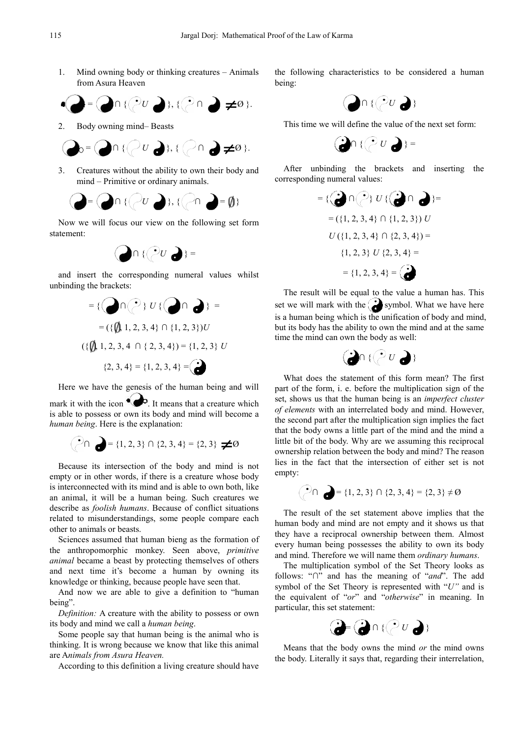1. Mind owning body or thinking creatures – Animals from Asura Heaven

$$
\bigcirc \bigcirc = \bigcirc \cap \{ (2U \bigcirc), (2\cap) \bigcirc \neq \emptyset \}.
$$

2. Body owning mind– Beasts

$$
Q_0 = Q \cap \{ (U \cup A), (\bigcirc \cap A \neq \emptyset).
$$

3. Creatures without the ability to own their body and mind – Primitive or ordinary animals.



Now we will focus our view on the following set form statement:



and insert the corresponding numeral values whilst unbinding the brackets:



Here we have the genesis of the human being and will mark it with the icon  $\mathbb{R}^3$ . It means that a creature which is able to possess or own its body and mind will become a *human being*. Here is the explanation:

$$
\bigodot \cap \bigodot = \{1,2,3\} \cap \{2,3,4\} = \{2,3\} \neq \emptyset
$$

Because its intersection of the body and mind is not empty or in other words, if there is a creature whose body is interconnected with its mind and is able to own both, like an animal, it will be a human being. Such creatures we describe as *foolish humans*. Because of conflict situations related to misunderstandings, some people compare each other to animals or beasts.

Sciences assumed that human bieng as the formation of the anthropomorphic monkey. Seen above, *primitive*  animal became a beast by protecting themselves of others and next time it's become a human by owning its knowledge or thinking, because people have seen that.

And now we are able to give a definition to "human being".

*Definition:* A creature with the ability to possess or own its body and mind we call a *human being* .

Some people say that human being is the animal who is thinking. It is wrong because we know that like this animal are A*nimals from Asura Heaven.*

According to this definition a living creature should have

the following characteristics to be considered a human being:



This time we will define the value of the next set form:



After unbinding the brackets brackets and inserting the corresponding numeral values:



The result will be equal to the value a human has. This set we will mark with the  $\sum$  symbol. What we have here is a human being which is the unification of body and mind, but its body has the ability to own the mind mind and at the same time the mind can own the body as well:



What does the statement of this form mean? The first part of the form, i. e. before the multiplication sign of the set, shows us that the human being is an *imperfect cluster* of elements with an interrelated body and mind. However, the second part after the multiplication sign implies the fact that the body owns a little part of the mind and the mind a little bit of the body. Why are we assuming this reciprocal ownership relation between the body and mind? The reason lies in the fact that the intersection of either set is not empty:

$$
P \cap \bigodot = \{1, 2, 3\} \cap \{2, 3, 4\} = \{2, 3\} \neq \emptyset
$$

The result of the set statement above implies that the human body and mind are not empty and it shows us that they have a reciprocal ownership between them. Almost every human being possesses the ability to own its body and mind. Therefore we will name them *ordinary humans*.

The multiplication symbol of the Set Theory looks as follows: "*∩*" and has the meaning of " *and*". The add symbol of the Set Theory is represented with " *U"* and is the equivalent of "*or*" and " *otherwise*" in meaning. In particular, this set statement:



Means that the body owns the mind *or* the mind owns the body. Literally it says that, regarding their interrelation,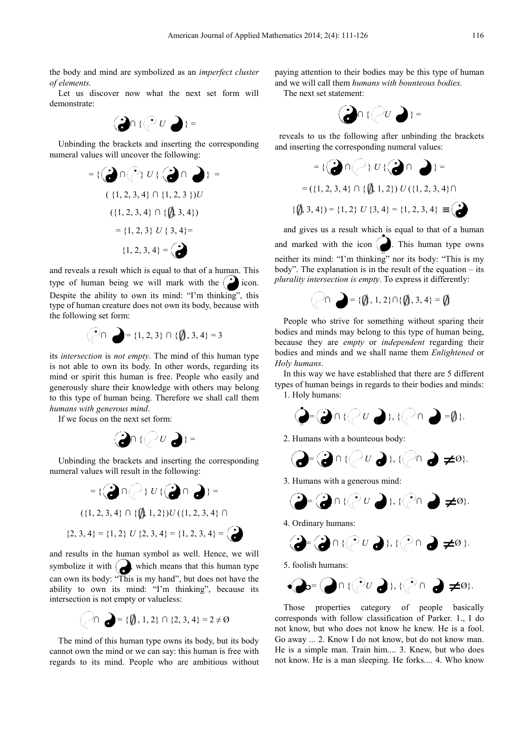the body and mind are symbolized as a an *imperfect cluster of elements.*

Let us discover now what the next set form will demonstrate:



Unbinding the brackets and inserting the corresponding numeral values will uncover the following:

$$
= \{ (\bigodot \cap (\bigodot) U \{ (\bigodot \cap \bigodot) \} = \{ (1, 2, 3, 4) \cap \{1, 2, 3\} ) U \}
$$
  

$$
= \{ (1, 2, 3, 4) \cap \{ (\bigtriangleup 3, 4 \})
$$
  

$$
= \{ 1, 2, 3 \} U \{ 3, 4 \} =
$$
  

$$
\{ 1, 2, 3, 4 \} = \bigodot
$$
  
and reveals a result which is equal to that of a human. This

type of human being we will mark with the  $\sum$  icon. Despite the ability to own its mind: "I'm thinking", this type of human creature does not own its body, because with the following set form:

$$
\bigodot \cap \bigodot = \{1, 2, 3\} \cap \{\emptyset, 3, 4\} = 3
$$

its *intersection* is *not empty*. The mind of this human type is not able to own its body. In other words, regarding its mind or spirit this human is free. People who easily and generously share their knowledge with others may belong to this type of human being. Therefore we shall call them *humans with generous mind*. Example who easily and with others may belong<br>refore we shall call them<br> $\therefore$ <br> $\bigcup$  ; =

If we focus on the next set form:



Unbinding the brackets and inserting the corresponding numeral values will result in the following:



and results in the human symbol as well. Hence, we will symbolize it with  $\left( \right)$ , which means that this human type can own its body: "This is my hand", but does not have the ability to own its mind: "I'm thinking", because its intersection is not empty or valueless:<br>  $\bigodot \bigcap$   $\bigodot = {\emptyset, 1, 2} \cap \{2, 3, 4\} = 2 \neq \emptyset$ intersection is not empty or valueless:

$$
\bigcap \bigcap = \{\emptyset, 1, 2\} \cap \{2, 3, 4\} = 2 \neq \emptyset
$$

The mind of this human type owns its body, but its body cannot own the mind or we can say: this human is free with regards to its mind. People who are ambitious without paying attention to their bodies may be this type of human and we will call them *humans with bounteous bodies*.

The next set statement:



reveals to us the following after unbinding the brackets and inserting the corresponding numeral values:



and gives us a result which is equal to that of a human and marked with the icon  $\Box$ . This human type owns neither its mind: "I'm thinking" nor its body: "This is my body". The explanation is in the result of the equation – its *plurality intersection is empty* . To express it differently:

*∩* = {  $\emptyset$ , 1, 2}∩{  $\emptyset$ , 3, 4} =

People who strive for something without sparing their bodies and minds may belong to this type of human being, because they are *empty* or *independent* regarding their bodies and minds and we shall name them *Enlightened* or *Holy humans*.

In this way we have established that there are 5 different types of human beings in regards to their bodies and minds: 1. Holy humans:

= *∩* { *U* }, { *∩* = }.

2. Humans with a bounteous body:

$$
Q = Q \cap \{Q \cup Q\}, \{Q \cap Q \neq \emptyset\}.
$$

3. Humans with a generous mind mind:

$$
(\partial_{\overrightarrow{\theta}}\mathbb{E}(\mathcal{E}_{\theta}^{(1)}\cap\mathcal{E}_{\theta}^{(2)}))\otimes\mathcal{E}_{\theta}^{(2)}\otimes\mathcal{E}_{\theta}^{(3)})\otimes\mathcal{E}_{\theta}^{(3)}\otimes\mathcal{E}_{\theta}^{(4)}\otimes\mathcal{E}_{\theta}^{(5)}\otimes\mathcal{E}_{\theta}^{(6)}\otimes\mathcal{E}_{\theta}^{(7)}\otimes\mathcal{E}_{\theta}^{(8)}\otimes\mathcal{E}_{\theta}^{(8)}\otimes\mathcal{E}_{\theta}^{(9)}\otimes\mathcal{E}_{\theta}^{(9)}\otimes\mathcal{E}_{\theta}^{(9)}\otimes\mathcal{E}_{\theta}^{(9)}\otimes\mathcal{E}_{\theta}^{(9)}\otimes\mathcal{E}_{\theta}^{(9)}\otimes\mathcal{E}_{\theta}^{(9)}\otimes\mathcal{E}_{\theta}^{(9)}\otimes\mathcal{E}_{\theta}^{(9)}\otimes\mathcal{E}_{\theta}^{(9)}\otimes\mathcal{E}_{\theta}^{(9)}\otimes\mathcal{E}_{\theta}^{(9)}\otimes\mathcal{E}_{\theta}^{(9)}\otimes\mathcal{E}_{\theta}^{(9)}\otimes\mathcal{E}_{\theta}^{(9)}\otimes\mathcal{E}_{\theta}^{(9)}\otimes\mathcal{E}_{\theta}^{(9)}\otimes\mathcal{E}_{\theta}^{(9)}\otimes\mathcal{E}_{\theta}^{(9)}\otimes\mathcal{E}_{\theta}^{(9)}\otimes\mathcal{E}_{\theta}^{(9)}\otimes\mathcal{E}_{\theta}^{(9)}\otimes\mathcal{E}_{\theta}^{(9)}\otimes\mathcal{E}_{\theta}^{(9)}\otimes\mathcal{E}_{\theta}^{(9)}\otimes\mathcal{E}_{\theta}^{(9)}\otimes\mathcal{E}_{\theta}^{(9)}\otimes\mathcal{E}_{\theta}^{(9)}\otimes\mathcal{E}_{\theta}^{(9)}\otimes\mathcal{E}_{\theta}^{(9)}\otimes\mathcal{E}_{\theta}^{(9)}\otimes\mathcal{E}_{\theta}^{(9)}\otimes\mathcal{E}_{\theta}^{(9)}\otimes\mathcal{E}_{\theta}^{(9)}\otimes\mathcal{E}_{\theta}^{(9)}\otimes\mathcal{E}_{\theta
$$

4. Ordinary humans:

$$
\mathbf{P}(\mathbf{Q} \cap \{ \mathbf{Q}^{\mathbf{U}} \mathbf{U} \mathbf{Q} \}, \{ \mathbf{Q}^{\mathbf{U}} \mathbf{Q} \} \neq \emptyset \}.
$$

5. foolish humans:

 $\epsilon$ 

$$
Q_0 = \bigcirc \cap \{ (u_0, u_1) \in \mathcal{U} \} \cup \{ u_1 \in \mathcal{U} \} \cup \{ u_2 \in \mathcal{U} \}.
$$

Those properties category of people basically corresponds with follow classification of Parker. 1., I do not know, but who does not know he knew. He is a fool. Go away ... 2. Know I do not know, but do not know man. He is a simple man. Train him him.... 3. Knew, but who does not know. He is a man sleeping. He forks.... 4. Who know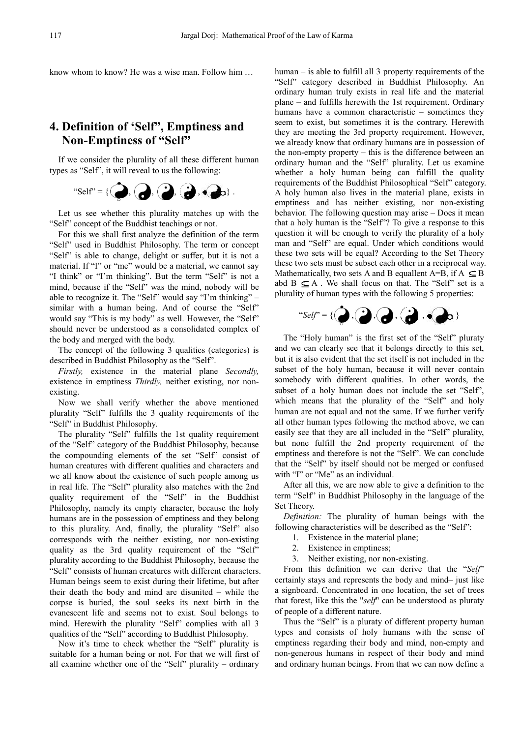know whom to know? He was a wise man. Follow him ...

# **4. Definition of 'Self", Emptiness , Emptiness and Non-Emptiness of "Self"**

If we consider the plurality of all these different human types as "Self", it will reveal to us the following:



Let us see whether this plurality matches up with the "Self" concept of the Buddhist teachings or not.

For this we shall first analyze the definition of the term "Self" used in Buddhist Philosophy. The term or concept "Self" is able to change, delight or suffer, but it is not a material. If "I" or "me" would be a material, we cannot say "I think" or "I'm thinking". But the term "Self" is not a mind, because if the "Self" was the mind mind, nobody will be able to recognize it. The "Self" would say "I'm thinking" – similar with a human being. And of course the "Self" would say "This is my body" as well. However, the "Self" should never be understood as a consolidated complex of the body and merged with the body.

The concept of the following 3 qualities (categories) is described in Buddhist Philosophy as the "Self".

*Firstly,* existence in the material material plane *Secondly,* existence in emptiness *Thirdly*, neither existing, nor nonexisting.

Now we shall verify whether the above mentioned plurality "Self" fulfills the 3 quality requirements of the "Self" in Buddhist Philosophy.

The plurality "Self" fulfills the 1st quality requirement of the "Self" category of the Buddhist Philosophy Philosophy, because the compounding elements of the set "Self" consist of human creatures with different qualities and characters and we all know about the existence of such people among us in real life. The "Self" plurality also matches matches with the 2nd quality requirement of the "Self" in the Buddhist Philosophy, namely its empty character, because the holy humans are in the possession of emptiness and they belong to this plurality. And, finally, the plurality "Self" also corresponds with the neither existing, nor non-existing quality as the 3rd quality requirement of the "Self" plurality according to the Buddhist Philosophy, because the "Self" consists of human creatures with different characters. Human beings seem to exist during their lifetime, but after Human beings seem to exist during their lifetime, but after their death the body and mind are disunited – while the corpse is buried, the soul seeks its next birth in the evanescent life and seems not to exist. Soul belongs to mind. Herewith the plurality "Self" complies with all 3 qualities of the "Self" according to Buddhist Philosophy.

Now it's time to check whether the "Self" plurality is suitable for a human being or not. For that we will first of all examine whether one of the "Self" plurality – ordinary human – is able to fulfill all 3 property requirements of the human – is able to fulfill all 3 property requirements of the "Self" category described in Buddhist Philosophy. An ordinary human truly exists in real life and the material plane – and fulfills herewith the 1st requirement. Ordinary humans have a common characteristic – sometimes they seem to exist, but sometimes it is the contrary. Herewith they are meeting the 3rd property requirement. However, we already know that ordinary humans are in possession of the non-empty property – this is the difference between an ordinary human and the "Self" plurality. Let us examine whether a holy human being can fulfill the quality requirements of the Buddhist Philosophical "Self" category. A holy human also lives in the material plane, exists in emptiness and has neither existing, nor non-existing behavior. The following question may arise – Does it mean that a holy human is the "Self"? To give a response to this question it will be enough to verify the plurality of a holy man and "Self" are equal. Under which conditions would these two sets will be equal? According to the Set Theory these two sets must be subset each other in a reciprocal way. Mathematically, two sets A and B equallent A=B, if  $A \subseteq B$ abd  $B \subseteq A$ . We shall focus on that. The "Self" set is a plurality of human types with the following 5 properties:



The "Holy human" is the first set of the "Self" pluraty and we can clearly see that it belongs directly to this set, but it is also evident that the set itself is not included in the subset of the holy human, because it will never contain subset of the holy human, because it will never contain somebody with different qualities. In other words, the subset of a holy human does not include the set "Self", which means that the plurality of the "Self" and holy human are not equal and not the same. If we further verify all other human types following the method above, we can easily see that they are all included in the "Self" plurality, but none fulfill the 2nd property requirement of the emptiness and therefore is not the "Self". We can conclude that the "Self" by itself should not be merged or confused that the "Self" by itself should no<br>with "I" or "Me" as an individual.

After all this, we are now able to give a definition to the term "Self" in Buddhist Philosophy Philosophy in the language of the Set Theory.

Definition: The plurality of human beings with the following characteristics will be described as the "Self":

- 1. Existence in the material plane;
- 2. Existence in emptiness;
- 3. Neither existing, nor non-existing.

From this definition we can derive that the "*Self*" certainly stays and represents the body and mind– just like a signboard. Concentrated in one location, the set of trees that forest, like this the "*self*" can be understood as pluraty of people of a different nature nature.

Thus the "Self" is a pluraty of different property human types and consists of holy humans with the sense of emptiness regarding their body and mind, non-empty and non-generous humans in respect of their body and mind non-generous humans in respect of their body and mind<br>and ordinary human beings. From that we can now define a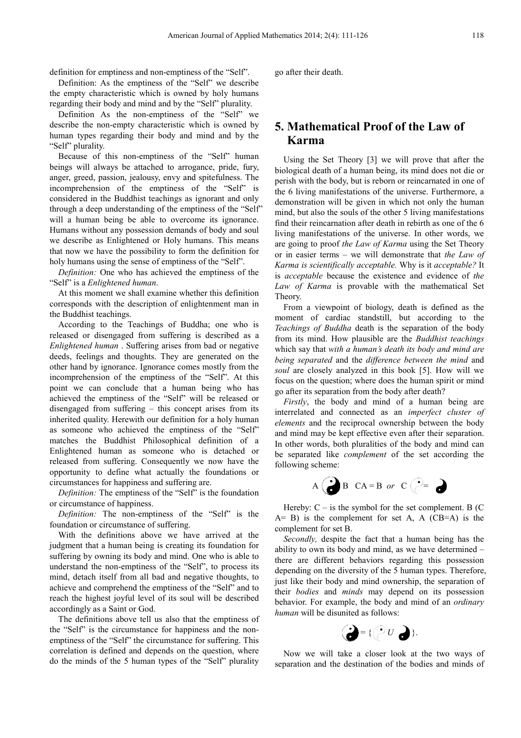definition for emptiness and non-emptiness of the "Self".

Definition: As the emptiness of the "Self" we describe the empty characteristic which is owned by holy humans regarding their body and mind and by the "Self" plurality.

Definition As the non-emptiness of the "Self" we describe the non-empty characteristic which is owned by describe the non-empty characteristic which is owned by human types regarding their body and mind and by the "Self" plurality.

Because of this non-emptiness of the "Self" human beings will always be attached to arrogance, pride, fury, anger, greed, passion, jealousy, envy and spitefulness. The incomprehension of the emptiness of the "Self" is considered in the Buddhist teachings as ignorant and only through a deep understanding of the emptiness of the "Self" will a human being be able to overcome its ignorance. Humans without any possession demands of body and soul we describe as Enlightened or Holy humans. This means that now we have the possibility to form the definition for holy humans using the sense of emptiness of the "Self". oly humans. This means<br>to form the definition for<br>ptiness of the "Self".<br>ved the emptiness of the

*Definition:* One who has achieved the emptiness "Self" is a *Enlightened human*.

At this moment we shall examine whether this definition corresponds with the description of enlightenment man in the Buddhist teachings.

According to the Teachings of Buddha; one who is released or disengaged from suffering is described as a *Enlightened human* . Suffering arises from bad or negative deeds, feelings and thoughts. They are generated on the other hand by ignorance. Ignorance comes mostly from the other hand by ignorance. Ignorance comes mostly from the incomprehension of the emptiness of the "Self". At this point we can conclude that a human being who has achieved the emptiness of the "Self" will be released or disengaged from suffering – this concept arises from its inherited quality. Herewith our definition for a holy human as someone who achieved the emptiness of the "Self" matches the Buddhist Philosophical definition of a Enlightened human as someone who is detached or released from suffering. Consequently we now have the opportunity to define what actually the foundations or circumstances for happiness and suffering are. - emptiness of the "Self". In their death.<br>
in of the "Self" we describe<br>
is owned by holy humans<br>
is owned by holy humans<br>
in of the "Self" purality.<br>
trinsic with is owned by the "Self" we<br>
cody and mind and by the<br>
ter

*Definition:* The emptiness of the "Self" is the foundation or circumstance of happiness.

*Definition:* The non-emptiness of the "Self" is the foundation or circumstance of suffering.

With the definitions above we have arrived at the judgment that a human being is creating its foundation for suffering by owning its body and mind. One who is able to understand the non-emptiness of the "Self", to process its mind, detach itself from all bad and negative thoughts, to mind, detach itself from all bad and negative thoughts, to achieve and comprehend the emptiness of the "Self" and to reach the highest joyful level of its soul will be described accordingly as a Saint or God.

The definitions above tell us also that the emptiness of the "Self" is the circumstance for happiness and the nonemptiness of the "Self" the circumstance for suffering. This correlation is defined and depends on the question, where do the minds of the 5 human types of the "Self" plurality

# **5. Mathematical Proof of the Law of Karma**

Using the Set Theory [3] ] we will prove that after the biological death of a human being, its mind mind does not die or perish with the body, but is reborn or reincarnated in one of the 6 living manifestations of the universe. Furthermore, a demonstration will be given in which not only the human mind, but also the souls of the other 5 living manifestations find their reincarnation after death in rebirth as one of the 6 living manifestations of the universe. In other words, we are going to proof *the Law of Karma*  using the Set Theory or in easier terms – we will demonstrate that *the Law of*  Karma is scientifically acceptable. Why is it *acceptable?* It is *acceptable* because the existence and evidence of *the Law of Karma* is provable with the mathematical Set Theory.

From a viewpoint of biology, death is defined as the moment of cardiac standstill, but according to the *Teachings of Buddha* death is the separation of the body from its mind. How plausible are the *Buddhist teachings* which say that *with a human's death its bod body and mind are being separated* and the *difference between the mind* and soul are closely analyzed in this book [5]. How will we focus on the question; where does the human spirit or mind go after its separation from the body after death?

Firstly, the body and mind of a human being are interrelated and connected as an *imperfect cluster of elements* and the reciprocal ownership between the body and mind may be kept effective even after their separation. In other words, both pluralities of the body and mind can be separated like *complement*  of the set according the following scheme:



Hereby:  $C -$  is the symbol for the set complement. B (C  $A= B$ ) is the complement for set A, A (CB=A) is the complement for set B.

*Secondly,* despite the fact that a a human being has the ability to own its body and mind, as we have determined – there are different behaviors behaviors regarding this possession depending on the diversity of the 5 human types. Therefore, just like their body and mind mind ownership, the separation of their *bodies* and *minds* may depend on its possession behavior. For example, the body and mind of an *ordinary human* will be disunited as follows:



Now we will take a closer look at the two ways of separation and the destination of the bodies and minds of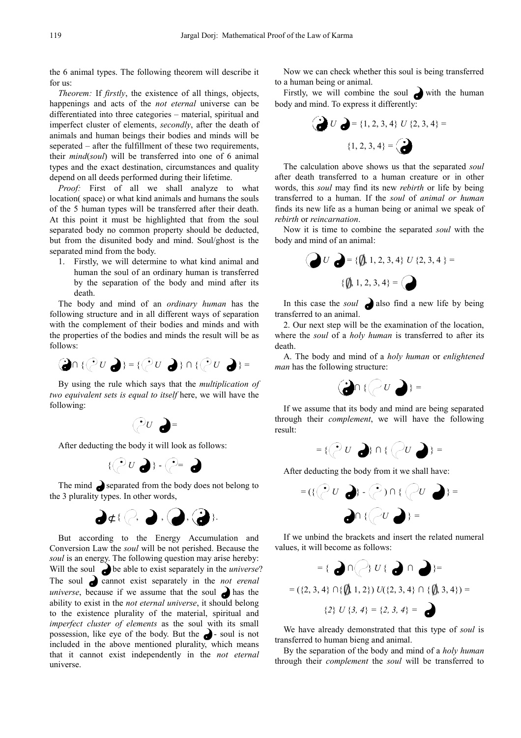the 6 animal types. The following theorem will describe it for us:

*Theorem:* If *firstly*, the existence of all things, objects, happenings and acts of the *not eternal* universe can be differentiated into three categories – material, spiritual and imperfect cluster of elements, *secondly* , after the death of animals and human beings their bodies and minds will be seperated – after the fulfillment of these two requirements, their *mind*(*soul*) will be transferred into one of 6 animal types and the exact destination, circumstances and quality depend on all deeds performed during their lifetime. on, circumstances and quality<br>d during their lifetime.<br>e shall analyze to what<br>animals and humans the souls

*Proof:* First of all we shall analyze to what location(space) or what kind animals and humans the souls of the 5 human types will be transferred after their death. At this point it must be highlighted that from the soul separated body no common property should be deducted, but from the disunited body and mind. Soul/ghost is the separated mind from the body.

1. Firstly, we will determine to what kind animal and human the soul of an ordinary human is transferred by the separation of the body and mind after its death.

The body and mind of an *ordinary human* has the following structure and in all different ways of separation with the complement of their bodies and minds and with the properties of the bodies and minds the result will be as follows:

$$
\text{Im}\,\{\text{Im}\,\{v\}\}=\{\text{Im}\,\{v\}\cap\{\text{Im}\,\{v\}\}=\text{Im}\,\{v\}\}.
$$

By using the rule which says that the *multiplication of two equivalent sets is equal to itself* here, we will have the following:



After deducting the body it will look as follows:



The mind  $\bullet$  separated from the body does not belong to the 3 plurality types. In other words,



But according to the Energy Accumulation and Conversion Law the *soul* will be not perished. Because the soul is an energy. The following question may arise hereby: Will the soul **b**e able to exist separately in the *universe*? The soul **cannot** exist separately in the *not erenal universe*, because if we assume that the soul  $\bullet$  has the ability to exist in the *not eternal universe* , it should belong to the existence plurality of the material, spiritual and *imperfect cluster of elements* as the soul with its small possession, like eye of the body. But the  $\bullet$  - soul is not included in the above mentioned plurality, which means that it cannot exist independently in the *not eternal* universe.

Now we can check whether this soul is being transferred to a human being or animal.

Firstly, we will combine the soul with the human body and mind. To express it differently:



The calculation above shows us that the separated *soul* after death transferred to a human creature or in other words, this *soul* may find its new *rebirth* or life by being transferred to a human. If the *soul* of *animal or human* finds its new life as a human being or animal we speak of *rebirth* or *reincarnation*.

Now it is time to combine the separated *soul* with the body and mind of an animal:



In this case the *soul*  $\bigcirc$  also find a new life by being transferred to an animal.

2. Our next step will be the examination of the location, where the *soul* of a *holy human* is transferred to after its death.

А. The body and mind of a *holy human* or *enlightened man* has the following structure:



If we assume that its body and mind are being separated through their *complement*, we will have the following result:



After deducting the body from it we shall have:



If we unbind the brackets and insert the related numeral values, it will become as follows:



We have already demonstrated that this type of *soul* is transferred to human bieng and animal.

By the separation of the body and mind of a *holy human* through their *complement* the *soul* will be transferred to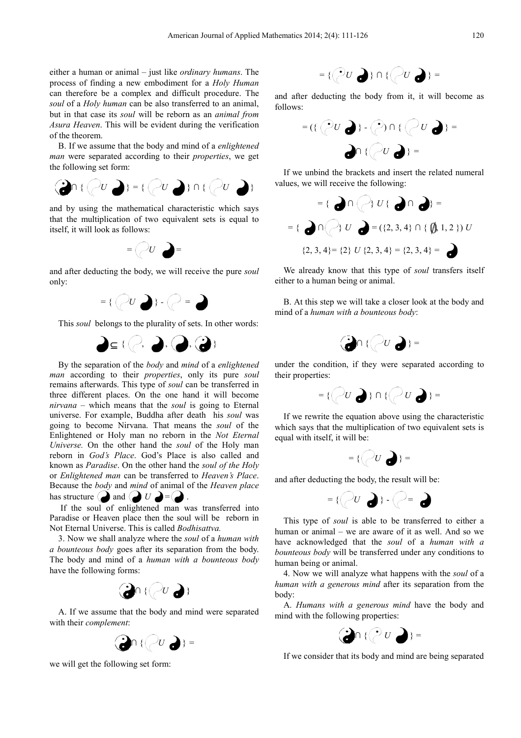either a human or animal – just like *ordinary humans* . The process of finding a new embodiment for a *Holy Human* can therefore be a complex and difficult procedure. The soul of a *Holy human* can be also transferred to an animal, but in that case its *soul* will be reborn as an *animal from* Asura Heaven. This will be evident during the verification of the theorem.

B. If we assume that the body and mind of a *enlightened man* were separated according to their *properties*, we get the following set form:



and by using the mathematical characteristic which says that the multiplication of two equivalent sets is equal to itself, it will look as follows:



and after deducting the body, we will receive the pure *soul* only:



This *soul* belongs to the plurality of sets. In other words:



By the separation of the *body* and *mind* of a *enlightened man* according to their *properties*, only its pure *soul* remains afterwards. This type of *soul* can be transferred in three different places. On the one hand it will become *nirvana* – which means that the *soul* is going to Eternal universe. For example, Buddha after death his soul was going to become Nirvana. That means the *soul* of the Enlightened or Holy man no reborn in the *Not Eternal Universe.* On the other hand the *soul*  of the Holy man reborn in *God's Place*. God's Place is also called and known as *Paradise*. On the other hand the *soul of the Holy* or *Enlightened man* can be transferred to *Heaven's Place*. Because the *body* and *mind* of animal of the *Heaven place* has structure  $\bigcirc$  and  $\bigcirc$   $U \bigcirc = \bigcirc$ .

If the soul of enlightened man was transferred into Paradise or Heaven place then the soul will be reborn in Not Eternal Universe. This is called *Bodhisattva.*

3. Now we shall analyze where the *soul*  of a *human with a bounteous body* goes after its separation from the body. The body and mind of a *human with a bounteous body* have the following forms:



A. If we assume that the body and mind mind were separated with their *complement*:



we will get the following set form:



and after deducting the body from it, it will become as follows:



If we unbind the brackets and insert the related numeral values, we will receive the following:



We already know that this type of *soul* transfers itself either to a human being or animal.

B. At this step we will take a closer look at the body and mind of a *human with a bounteous body* :



under the condition, if they were separated according to their properties:



If we rewrite the equation above using the characteristic which says that the multiplication of two equivalent sets is equal with itself, it will be:



and after deducting the body, the result will be:



This type of *soul* is able to be transferred to either a human or animal – we are aware of it as well. And so we have acknowledged that the *soul* of a *human with a bounteous body* will be transferred under any conditions to human being or animal.

4. Now we will analyze what h happens with the *soul* of a human with a generous mind after its separation from the body:

A. *Humans with a generous mind* have the body and mind with the following properties properties:



If we consider that its body and mind are being separated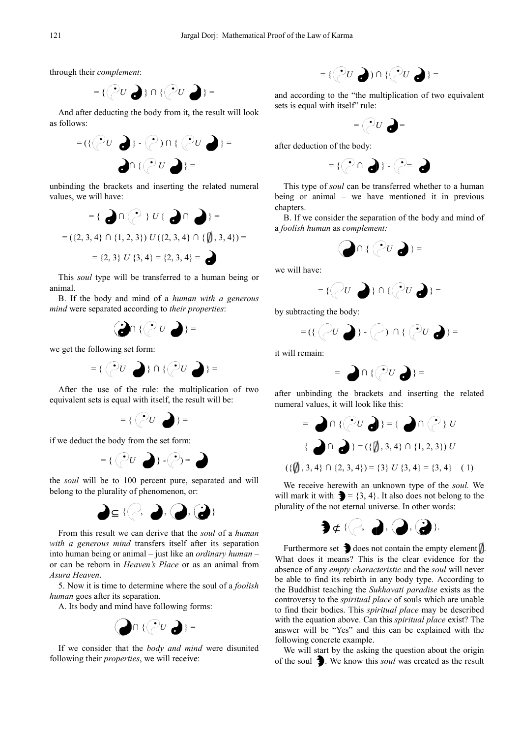through their *complement*:



And after deducting the body from it, the result will look as follows:



unbinding the brackets and inserting the related numeral values, we will have:



This *soul* type will be transferred to a human being or animal.

B. If the body and mind of a *human with a generous mind* were separated according to *their properties* :



we get the following set form:



After the use of the rule: the multiplication of two equivalent sets is equal with itself, the result will be:



if we deduct the body from the set form:



the *soul* will be to 100 percent pure, separated and will belong to the plurality of phenomenon, or:



From this result we can derive that the *soul* of a *human with a generous mind* transfers itself after its separation into human being or animal – just like an *ordinary human* – or can be reborn in *Heaven's Place* or as an animal from *Asura Heaven*.

5. Now it is time to determine where the soul of a *foolish human* goes after its separation.

A. Its body and mind have following forms:



If we consider that the *body and mind* were disunited following their *properties*, we will receive:

$$
=\{\bigodot U \bigodot) \cap \{\bigodot U \bigodot\} =
$$

and according to the "the multiplication of two equivalent sets is equal with itself" rule:



after deduction of the body:



This type of *soul* can be transferred whether to a human being or animal – we have mentioned it in previous chapters.

B. If we consider the separation of the body and mind of a *foolish human* as *complement complement:*

$$
\bigodot \cap \{ \bigcirc^2 U \bigodot \} =
$$

we will have:



by subtracting the body:



it will remain:

$$
= \bigcirc \cap \{ (U \bigcirc U) \} =
$$

after unbinding the brackets brackets and inserting the related numeral values, it will look like this:

$$
= \bigcirc \cap \{ \binom{0}{C} \} = \{ \bigcirc \cap \{ \binom{0}{C} \} \cup \{ \binom{0}{C} \} \cup \{ \binom{0}{C} \} \cup \{ \binom{0}{C} \} \cup \{ \binom{0}{C} \} \cup \{ \binom{0}{C} \} = \{ \binom{0}{C} \} \cup \{ \binom{0}{C} \} \cup \{ \binom{0}{C} \} \cup \{ \binom{0}{C} \} \cup \{ \binom{0}{C} \} \cup \{ \binom{0}{C} \} \cup \{ \binom{0}{C} \} \cup \{ \binom{0}{C} \} \cup \{ \binom{0}{C} \} \cup \{ \binom{0}{C} \} \cup \{ \binom{0}{C} \} \cup \{ \binom{0}{C} \} \cup \{ \binom{0}{C} \} \cup \{ \binom{0}{C} \} \cup \{ \binom{0}{C} \} \cup \{ \binom{0}{C} \} \cup \{ \binom{0}{C} \} \cup \{ \binom{0}{C} \} \cup \{ \binom{0}{C} \} \cup \{ \binom{0}{C} \} \cup \{ \binom{0}{C} \} \cup \{ \binom{0}{C} \} \cup \{ \binom{0}{C} \} \cup \{ \binom{0}{C} \} \cup \{ \binom{0}{C} \} \cup \{ \binom{0}{C} \} \cup \{ \binom{0}{C} \} \cup \{ \binom{0}{C} \} \cup \{ \binom{0}{C} \} \cup \{ \binom{0}{C} \} \cup \{ \binom{0}{C} \} \cup \{ \binom{0}{C} \} \cup \{ \binom{0}{C} \} \cup \{ \binom{0}{C} \} \cup \{ \binom{0}{C} \} \cup \{ \binom{0}{C} \} \cup \{ \binom{0}{C} \} \cup \{ \binom{0}{C} \} \cup \{ \binom{0}{C} \} \cup \{ \binom{0}{C} \} \cup \{ \binom{0}{C} \} \cup \{ \binom{0}{C} \} \cup \{ \binom{0}{C} \} \cup \{ \binom{0}{C} \} \cup \{ \binom{0}{C} \} \cup \{ \binom{0}{C} \} \cup \{ \binom{
$$

We receive herewith an unknown type of the *soul.* We will mark it with  $\mathbf{I} = \{3, 4\}$ . It also does not belong to the plurality of the not eternal universe. In other words:



Furthermore set  $\bigtriangledown$  does not contain the empty element  $\bigtriangledown$ . What does it means? This is the clear evidence for the absence of any *empty characteristic* and the *soul* will never be able to find its rebirth in any body type. According to the Buddhist teaching the *Sukhavati paradise* exists as the controversy to the *spiritual place* of souls which are unable to find their bodies. This *spiritual place*  may be described with the equation above. Can this *spiritual place* exist? The answer will be "Yes" and this can be explained with the following concrete example.

We will start by the asking the question about the origin of the soul **3**. We know this *soul* was created as the result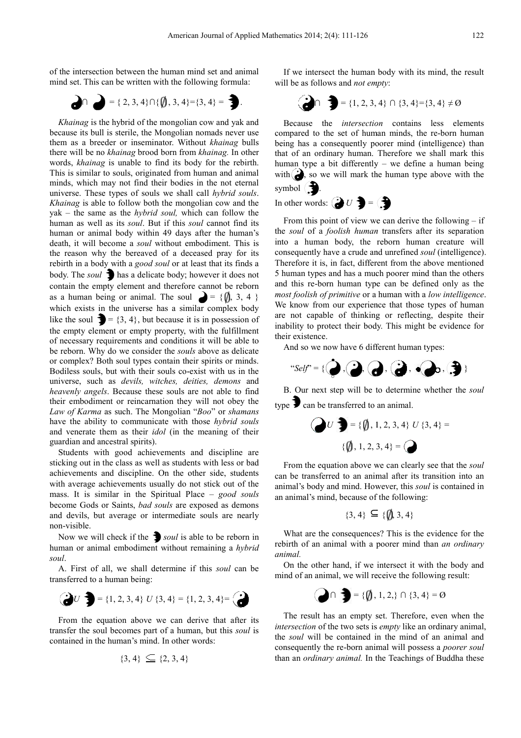of the intersection between the human mind set and animal mind set. This can be written with the following formula: ersection between the human mind set and ani<br>This can be written with the following formula<br> $\bigcap$  =  $\{2, 3, 4\} \cap \{\{\{\}, 3, 4\} = \{3, 4\} = \}$ .

$$
\bigodot \bigcap = \{2, 3, 4\} \cap \{\emptyset, 3, 4\} = \{3, 4\} = \bigodot
$$

*Khainag* is the hybrid of the mongolian cow and yak and because its bull is sterile, the Mongolian nomads never use them as a breeder or inseminator. Without . *khainag* bulls there will be no *khainag* brood born from  *khainag.* In other words, *khainag* is unable to find its body for the rebirth. This is similar to souls, originated from human and animal words, *khainag* is unable to find its body for the rebirth.<br>This is similar to souls, originated from human and animal<br>minds, which may not find their bodies in the not eternal universe. These types of souls we shall call *hybrid souls*. *Khainag* is able to follow both the mongolian cow and the yak – the same as the *hybrid soul,* which can follow the human as well as its *soul*. But if this *soul* cannot find its human or animal body within 49 days after the human's death, it will become a *soul* without embodiment. This is the reason why the bereaved of a deceased pray for its rebirth in a body with a *good soul* or at least that its finds a body. The *soul*  $\bullet$  has a delicate body; however it does not contain the empty element and therefore cannot be reborn as a human being or animal. The soul  $\bullet = \{\{\}, 3, 4\}$ which exists in the universe has a similar complex body like the soul  $\mathbf{B} = \{3, 4\}$ , but because it is in possession of the empty element or empty property, with the fulfillment of necessary requirements and conditions it will be able to be reborn. Why do we consider the *souls* above as delicate or complex? Both soul types contain their spirits or minds. Bodiless souls, but with their souls co-exist with us in the universe, such as *devils, witches, deities deities, demons* and *heavenly angels*. Because these souls are not able to find their embodiment or reincarnation they will not obey the Law of Karma as such. The Mongolian "Boo" or *shamans* have the ability to communicate with those *hybrid souls*  and venerate them as their *idol* (in the meaning of their guardian and ancestral spirits). In the intertain of the star and like in the star and like in the star and like in the star and like the star and like the star and like the star and like the star and like the star and yiel in the star and with  $\binom{3}{2$ 

Students with good achievements and discipline are sticking out in the class as well as students with less or bad achievements and discipline. On the other side, students with average achievements usually do not stick out of the mass. It is similar in the Spiritual Plac Place – *good souls* become Gods or Saints, *bad souls* are exposed as demons and devils, but average or intermediate souls are nearly non-visible.

Now we will check if the **3** soul is able to be reborn in human or animal embodiment without remaining a *hybrid soul*.

A. First of all, we shall determine if this *soul* can be transferred to a human being:

$$
\begin{array}{c}\n\bigodot U\n\end{array} = \{1, 2, 3, 4\} \ U \{3, 4\} = \{1, 2, 3, 4\} = \begin{array}{c}\n\bigodot\n\end{array}
$$

From the equation above we can derive that after its transfer the soul becomes part of a human, but this *soul* is contained in the human's mind. In other words:

$$
\{3,4\} \subseteq \{2,3,4\}
$$

will be as follows and *not empty* : If we intersect the human body with its mind, the result

$$
\begin{pmatrix} \bullet \\ \bullet \end{pmatrix} \cap \begin{pmatrix} \bullet \\ \bullet \end{pmatrix} = \{1, 2, 3, 4\} \cap \{3, 4\} = \{3, 4\} \neq \emptyset
$$

Because the *intersection* contains less elements compared to the set of human minds, the re-born human being has a consequently poorer mind (intelligence) than that of an ordinary human. Therefore we shall mark this human type a bit differently – we define a human being with  $\sum$ , so we will mark the human type above with the symbol  $\bigcirc$ 

In other words:  $\bigodot U$  **j** =  $\bigodot$ 

From this point of view we can derive the following  $-$  if the *soul* of a *foolish human* transfers after its separation into a human body, the reborn human creature will consequently have a crude and unrefined *soul* (intelligence). Therefore it is, in fact, different from the above mentioned 5 human types and has a much poorer mind than the others and this re-born human type can be defined only as the *most foolish of primitive* or a human with a *low intelligence*. We know from our experience that those types of human are not capable of thinking or reflecting, despite their inability to protect their body. This might be evidence for their existence.

And so we now have 6 different human types:

$$
\text{``Self''} = \{\bigcirc\} \text{, } \bigcirc\} \text{, } \bigcirc\} \text{, } \bigcirc\} \text{, } \bigcirc\} \text{, } \bigcirc\}
$$

B. Our next step will be to determine whether the *soul* type  $\sum$  can be transferred to an animal.

$$
U \bigcirc \{ \emptyset, 1, 2, 3, 4 \} U \{3, 4 \} = \{\emptyset, 1, 2, 3, 4 \} = \bigcirc
$$

From the equation above we can clearly see that the *soul* can be transferred to an animal after its transition into an animal's body and mind. However, this *soul* is contained in an animal's mind, because of the following:

$$
\{3,4\} \subseteq \{\emptyset,3,4\}
$$

What are the consequences? This is the evidence for the rebirth of an animal with a poorer mind than *an ordinary animal.* 

On the other hand, if we intersect it with the body and mind of an animal, we will receive the following result:

$$
\bigodot \cap \bigodot = \{\emptyset, 1, 2, \} \cap \{3, 4\} = \emptyset
$$

The result has an empty set. Therefore, even when the *intersection* of the two sets is *empty* like an ordinary animal, the *soul* will be contained in the mind of an animal and consequently the re-born animal will possess a *poorer soul* than an *ordinary animal.* In the Teachings of Buddha these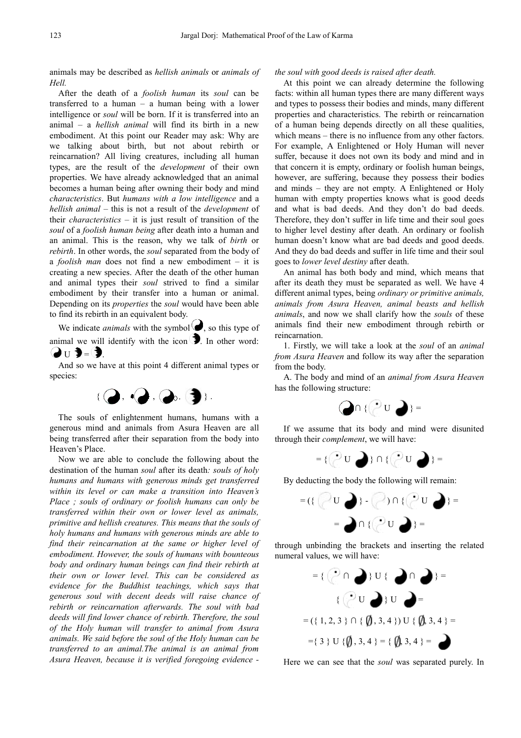animals may be described as *hellish animals* or *animals of Hell.*

After the death of a *foolish human* its *soul* can be transferred to a human – a human being with a lower intelligence or *soul* will be born. If it is transferred into an animal – a *hellish animal* will find its birth in a new embodiment. At this point our Reader may ask: Why are we talking about birth, but not about rebirth or reincarnation? All living creatures, including all human types, are the result of the *development* of their own properties. We have already acknowledged that an animal becomes a human being after owning their body and mind *characteristics*. But *humans with a low intelligence* and a *hellish animal* – this is not a result of the *development* of their *characteristics* – it is just result of transition of the *soul* of a *foolish human being* after death into a human and an animal. This is the reason, why we talk of *birth* or *rebirth*. In other words, the *soul* separated from the body of a *foolish man* does not find a new embodiment – it is creating a new species. After the death of the other human and animal types their *soul* strived to find a similar embodiment by their transfer into a human or animal. Depending on its *properties* the *soul* would have been able to find its rebirth in an equivalent body.

We indicate *animals* with the symbol  $\bigcirc$ , so this type of animal we will identify with the icon  $\bullet$ . In other word:  $\mathbf{Q}_{\mathrm{U}}$   $\mathbf{3}$  =  $\mathbf{3}$  .

And so we have at this point 4 different animal types or species:



The souls of enlightenment humans, humans with a generous mind and animals from Asura Heaven are all being transferred after their separation from the body into Heaven's Place.

Now we are able to conclude the following about the destination of the human *soul* after its death*: souls of holy humans and humans with generous minds get transferred within its level or can make a transition into Heaven's Place ; souls of ordinary or foolish humans can only be transferred within their own or lower level as animals, primitive and hellish creatures. This means that the souls of holy humans and humans with generous minds are able to find their reincarnation at the same or higher level of embodiment. However, the souls of humans with bounteous body and ordinary human beings can find their rebirth at their own or lower level. This can be considered as evidence for the Buddhist teachings, which says that generous soul with decent deeds will raise chance of rebirth or reincarnation afterwards. The soul with bad deeds will find lower chance of rebirth. Therefore, the soul of the Holy human will transfer to animal from Asura animals. We said before the soul of the Holy human can be transferred to an animal.The animal is an animal from Asura Heaven, because it is verified foregoing evidence -* 

#### *the soul with good deeds is raised after death.*

At this point we can already determine the following facts: within all human types there are many different ways and types to possess their bodies and minds, many different properties and characteristics. The rebirth or reincarnation of a human being depends directly on all these qualities, which means – there is no influence from any other factors. For example, A Enlightened or Holy Human will never suffer, because it does not own its body and mind and in that concern it is empty, ordinary or foolish human beings, however, are suffering, because they possess their bodies and minds – they are not empty. A Enlightened or Holy human with empty properties knows what is good deeds and what is bad deeds. And they don't do bad deeds. Therefore, they don't suffer in life time and their soul goes to higher level destiny after death. An ordinary or foolish human doesn't know what are bad deeds and good deeds. And they do bad deeds and suffer in life time and their soul goes to *lower level destiny* after death.

An animal has both body and mind, which means that after its death they must be separated as well. We have 4 different animal types, being *ordinary or primitive animals, animals from Asura Heaven, animal beasts and hellish animals*, and now we shall clarify how the *souls* of these animals find their new embodiment through rebirth or reincarnation.

1. Firstly, we will take a look at the *soul* of an *animal from Asura Heaven* and follow its way after the separation from the body.

A. The body and mind of an *animal from Asura Heaven*  has the following structure:

 $\mathbf{Q} \cap \{ \mathcal{P} \cup \mathbf{D} \} =$ 

If we assume that its body and mind were disunited through their *complement*, we will have:



By deducting the body the following will remain:

$$
= (\{\bigcirc \cup U \ \ \bullet\} \cdot \bigcirc \cup \cap \{\bigcirc \cup U \ \ \bullet\} \cdot \bigcirc
$$

through unbinding the brackets and inserting the related numeral values, we will have:



Here we can see that the *soul* was separated purely. In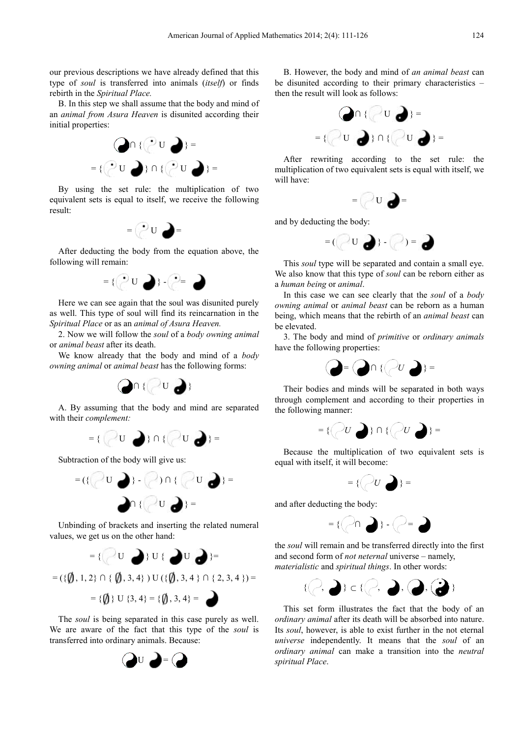our previous descriptions we have already defined that this type of *soul* is transferred into animals (*itself*) or finds rebirth in the *Spiritual Place.*

B. In this step we shall assume that the body and mind of an *animal from Asura Heaven* is disunited according their initial properties:



By using the set rule: the multiplication of two equivalent sets is equal to itself, we receive the following result:



After deducting the body from the equation above, the following will remain:



Here we can see again that the soul was disunited purely as well. This type of soul will find its reincarnation in the *Spiritual Place* or as an *animal of Asura Heaven.*

2. Now we will follow the *soul* of a *body owning animal* or *animal beast* after its death.

We know already that the body and mind of a *body owning animal* or *animal beast* has the following forms:



A. By assuming that the body and mind are separated with their *complement:*



Subtraction of the body will give us:



Unbinding of brackets and inserting the related numeral values, we get us on the other hand:



 $= \{\{\$\}\}\ \cup \{3,4\} = \{\{\$\},\,3,4\} =$ 

The *soul* is being separated in this case purely as well. We are aware of the fact that this type of the *soul* is transferred into ordinary animals. Because:



B. However, the body and mind mind of *an animal beast* can be disunited according to their primary characteristics then the result will look as follows:



After rewriting according to the set rule: the multiplication of two equivalent sets is equal with itself, we will have:



and by deducting the body:



This *soul* type will be separated and contain a small eye. We also know that this type of *soul* can be reborn either as a *human being* or *animal*.

In this case we can see clearly that the *soul* of a *body owning animal* or *animal beast* can be reborn as a human being, which means that the rebirth of an *animal beast* can be elevated.

3. The body and mind of *primitive* or *ordinary animals* have the following properties:



Their bodies and minds will be separated in both ways through complement and according to their properties in the following manner:



Because the multiplication of two equivalent sets is equal with itself, it will become become:



and after deducting the body:



the *soul* will remain and be transferred directly into the the first and second form of *not neternal*  universe – namely, *materialistic* and *spiritual things* . In other words:



This set form illustrates the fact that the body of an ordinary animal after its death will be absorbed into nature. Its *soul*, however, is able to exist further in the not eternal *universe* independently. It means that the *soul* of an *ordinary animal* can make a transition into the *neutral spiritual Place*.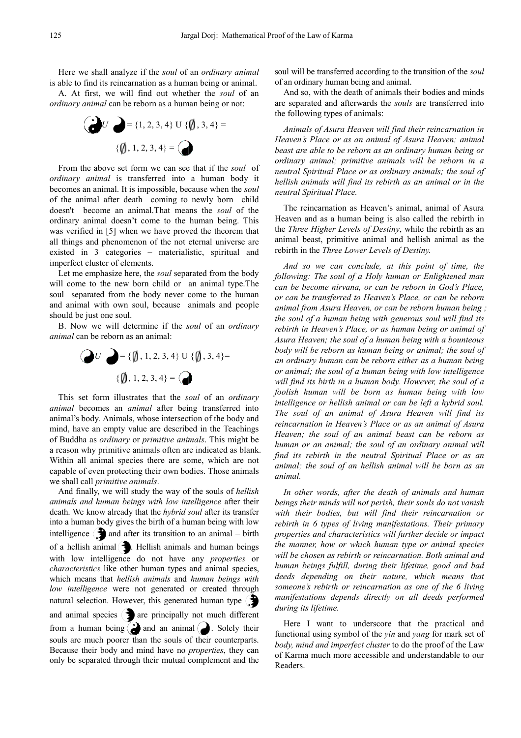Here we shall analyze if the *soul* of an *ordinary animal* is able to find its reincarnation as a human being or animal.

A. At first, we will find out whether the *soul* of an *ordinary animal* can be reborn as a human being or not:



From the above set form we can see that if the *soul* of *ordinary animal* is transferred into a human body it ordinary animal is transferred into a human body it becomes an animal. It is impossible, because when the *soul* of the animal after death coming to newly born child doesn't become an animal. That means the *soul* of the ordinary animal doesn't come to the human being. This was verified in [5] when we have proved the theorem that all things and phenomenon of the not eternal universe are existed in 3 categories – materialistic, spiritual and imperfect cluster of elements.

Let me emphasize here, the *soul* separated from the body will come to the new born child or an animal type.The soul separated from the body never come to the human and animal with own soul, because animals and people should be just one soul.

B. Now we will determine if the *soul* of an *ordinary animal* can be reborn as an animal:

$$
\begin{array}{c}\n\bigcirc \bigcirc U \bigcirc \bigcirc = \{\emptyset, 1, 2, 3, 4\} \cup \{\emptyset, 3, 4\} = \\
\{\emptyset, 1, 2, 3, 4\} = \bigcirc \bigcirc\n\end{array}
$$

This set form illustrates that the *soul* of an *ordinary animal* becomes an *animal* after being transferred into animal's body. Animals, whose intersection of the body and mind, have an empty value are described in the Teachings of Buddha as *ordinary* or *primitive animals* a reason why primitive animals often are indicated as blank. Within all animal species there are some, which are not capable of even protecting their own bodies. Those animals we shall call *primitive animals*. section of the body and<br>cribed in the Teachings<br>*animals*. This might be

And finally, we will study the way of the souls of *hellish animals and human beings with low intelligence* after their death. We know already that the *hybrid soul* after its transfer into a human body gives the birth of a human being with low intelligence  $\left( \cdot \right)$  and after its transition to an animal – birth of a hellish animal  $\sum$ . Hellish animals and human beings with low intelligence do not have any *properties* or *characteristics* like other human types and animal species, which means that *hellish animals* and *human beings with low intelligence* were not generated or created through natural selection. However, this generated human type  $\Box$ and animal species  $\langle \rangle$  are principally not much different from a human being  $\sum$  and an animal  $\sum$ . Solely their souls are much poorer than the souls of their counterparts. Because their body and mind have no *properties* , they can only be separated through their mutual complement and the soul will be transferred according to the transition of the *soul*  of an ordinary human being and animal.

And so, with the death of animals their bodies and minds are separated and afterwards the *souls* are transferred into the following types of animals:

*Animals of Asura Heaven will find their reincarnation in Heaven's Place or as an animal of Asura Heaven; animal beast are able to be reborn as an ordinary human being or ordinary animal; primitive animals will be reborn in a neutral Spiritual Place or as ordinary animals; the soul of hellish animals will find its rebirth as an animal or in the neutral Spiritual Place.* 

The reincarnation as Heaven's animal, animal of Asura Heaven and as a human being is also called the rebirth in the *Three Higher Levels of Destiny*, while the rebirth as an animal beast, primitive animal and hellish animal as the rebirth in the *Three Lower Levels of Destiny.*

And so we can conclude, at this point of time, the following: The soul of a Holy human or Enlightened man *can be become nirvana, or can be reborn in God's Place, or can be transferred to Heaven's Place, or can be reborn animal from Asura Heaven, or can be reborn human being being ; the soul of a human being with generous soul will find its*  rebirth in Heaven's Place, or as human being or animal of *Asura Heaven; the soul of a human being with a bounteous body will be reborn as human being or animal; the soul of an ordinary human can be reborn either as a human being or animal; the soul of a human being with low intelligence will find its birth in a human body. However, the soul of a foolish human will be born as human being with low intelligence or hellish animal or can be left a hybrid soul. The soul of an animal of Asura Heaven will find its reincarnation in Heaven's Place or as an animal of Asura Heaven; the soul of an animal beast can be reborn as human or an animal; the soul of an ordinary animal will find its rebirth in the neutral Spiritual Place or as an animal; the soul of an hellish animal will be born as an animal.* 

*In other words, after the death of animals and human*  beings their minds will not perish, their souls do not vanish with their bodies, but will find their reincarnation or rebirth in 6 types of living manifestations. Their primary properties and characteristics will further decide or impact *the manner, how or which human type or animal species will be chosen as rebirth or reincarnation. Both animal and human beings fulfill, during their lifetime lifetime, good and bad deeds depending on their nature, which means that*  someone's rebirth or reincarnation as one of the 6 living manifestations depends directly on all deeds performed *during its lifetime.* 

Here I want to underscore that the practical and functional using symbol of the *yin* and *yang* for mark set of *body, mind and imperfect cluster* to do the proof of the Law of Karma much more accessible and understandable to our Readers.